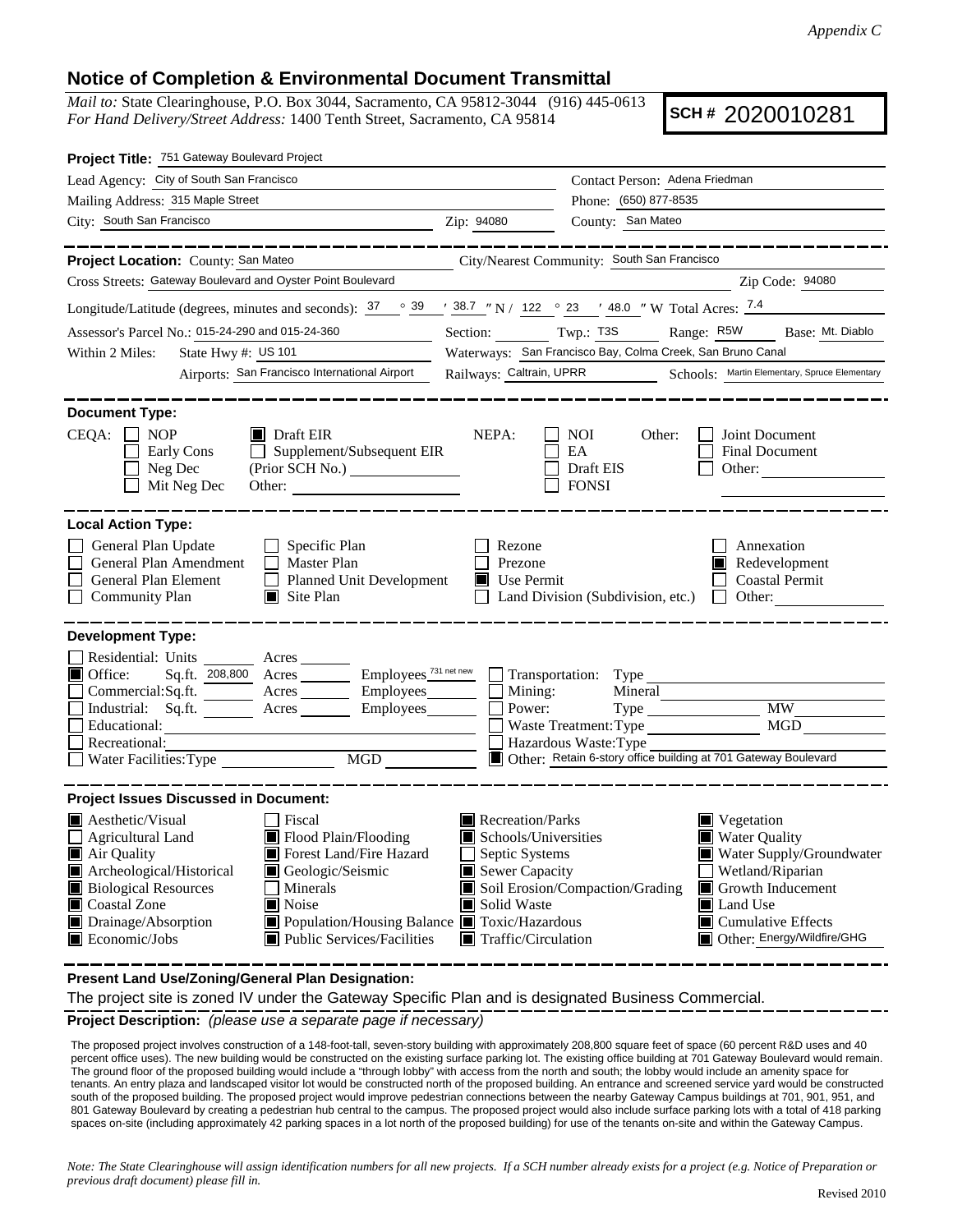## **Notice of Completion & Environmental Document Transmittal**

*Mail to:* State Clearinghouse, P.O. Box 3044, Sacramento, CA 95812-3044 (916) 445-0613 *For Hand Delivery/Street Address:* 1400 Tenth Street, Sacramento, CA 95814

**SCH #** 2020010281

| Project Title: 751 Gateway Boulevard Project                                                                                                                                                                                                                                                                                                                                                    |                                                                                                                                   |                                             |                                                                                                                                                                                        |  |  |
|-------------------------------------------------------------------------------------------------------------------------------------------------------------------------------------------------------------------------------------------------------------------------------------------------------------------------------------------------------------------------------------------------|-----------------------------------------------------------------------------------------------------------------------------------|---------------------------------------------|----------------------------------------------------------------------------------------------------------------------------------------------------------------------------------------|--|--|
| Lead Agency: City of South San Francisco                                                                                                                                                                                                                                                                                                                                                        | Contact Person: Adena Friedman                                                                                                    |                                             |                                                                                                                                                                                        |  |  |
| Mailing Address: 315 Maple Street                                                                                                                                                                                                                                                                                                                                                               | Phone: (650) 877-8535                                                                                                             |                                             |                                                                                                                                                                                        |  |  |
| City: South San Francisco<br><u> 1989 - Johann Barbara, martin da basar a</u>                                                                                                                                                                                                                                                                                                                   | Zip: 94080                                                                                                                        | County: San Mateo                           |                                                                                                                                                                                        |  |  |
|                                                                                                                                                                                                                                                                                                                                                                                                 |                                                                                                                                   |                                             |                                                                                                                                                                                        |  |  |
| Project Location: County: San Mateo                                                                                                                                                                                                                                                                                                                                                             |                                                                                                                                   | City/Nearest Community: South San Francisco |                                                                                                                                                                                        |  |  |
| Cross Streets: Gateway Boulevard and Oyster Point Boulevard                                                                                                                                                                                                                                                                                                                                     |                                                                                                                                   |                                             | Zip Code: 94080                                                                                                                                                                        |  |  |
| Longitude/Latitude (degrees, minutes and seconds): $37 \degree$ $39 \degree$ $38.7 \degree$ N / $122 \degree$ 23 $\degree$ 48.0 " W Total Acres: $7.4$                                                                                                                                                                                                                                          |                                                                                                                                   |                                             |                                                                                                                                                                                        |  |  |
| Assessor's Parcel No.: 015-24-290 and 015-24-360                                                                                                                                                                                                                                                                                                                                                | Section: Twp.: T3S<br>Range: R5W<br>Base: Mt. Diablo                                                                              |                                             |                                                                                                                                                                                        |  |  |
| State Hwy #: US 101<br>Within 2 Miles:                                                                                                                                                                                                                                                                                                                                                          | Waterways: San Francisco Bay, Colma Creek, San Bruno Canal                                                                        |                                             |                                                                                                                                                                                        |  |  |
| Airports: San Francisco International Airport                                                                                                                                                                                                                                                                                                                                                   | Railways: Caltrain, UPRR                                                                                                          |                                             | Schools: Martin Elementary, Spruce Elementary                                                                                                                                          |  |  |
| <b>Document Type:</b><br>$CEQA: \Box NP$<br>$\blacksquare$ Draft EIR<br>NEPA:<br>NOI<br>Other:<br>Joint Document<br>Supplement/Subsequent EIR<br>Early Cons<br>EA<br><b>Final Document</b><br>$\perp$<br>Neg Dec<br>Draft EIS<br>Other:<br>Mit Neg Dec<br><b>FONSI</b><br>Other:                                                                                                                |                                                                                                                                   |                                             |                                                                                                                                                                                        |  |  |
| <b>Local Action Type:</b><br>General Plan Update<br>$\Box$ Specific Plan<br>Annexation<br>Rezone<br>General Plan Amendment<br>$\Box$ Master Plan<br>Prezone<br>Redevelopment                                                                                                                                                                                                                    |                                                                                                                                   |                                             |                                                                                                                                                                                        |  |  |
| General Plan Element<br>Planned Unit Development<br>$\Box$ Site Plan<br><b>Community Plan</b>                                                                                                                                                                                                                                                                                                   | Use Permit<br>Ш                                                                                                                   | Land Division (Subdivision, etc.)           | <b>Coastal Permit</b><br>$\mathbf{I}$<br>Other:                                                                                                                                        |  |  |
| <b>Development Type:</b><br>Residential: Units ________ Acres _______<br>Employees <sup>731 net new</sup><br>$\blacksquare$ Office:<br>Sq.ft. 208,800 Acres<br>Commercial:Sq.ft.<br>Acres __________ Employees______<br>Industrial: Sq.ft.<br>Employees<br>Acres                                                                                                                                | Mining:<br>Power:                                                                                                                 | Transportation: Type<br>Mineral             | <b>MW</b>                                                                                                                                                                              |  |  |
| Educational:<br>Recreational:                                                                                                                                                                                                                                                                                                                                                                   |                                                                                                                                   | Waste Treatment: Type                       | MGD                                                                                                                                                                                    |  |  |
| MGD<br>Water Facilities: Type                                                                                                                                                                                                                                                                                                                                                                   | Hazardous Waste: Type<br>Other: Retain 6-story office building at 701 Gateway Boulevard                                           |                                             |                                                                                                                                                                                        |  |  |
| <b>Project Issues Discussed in Document:</b>                                                                                                                                                                                                                                                                                                                                                    |                                                                                                                                   |                                             |                                                                                                                                                                                        |  |  |
| Aesthetic/Visual<br>Fiscal<br>Flood Plain/Flooding<br><b>Agricultural Land</b><br>Forest Land/Fire Hazard<br>Air Quality<br>Archeological/Historical<br>о<br>Geologic/Seismic<br><b>Biological Resources</b><br>Minerals<br>Coastal Zone<br>■ Noise<br>Drainage/Absorption<br>Population/Housing Balance <b>T</b> Toxic/Hazardous<br>Public Services/Facilities<br>$\blacksquare$ Economic/Jobs | Recreation/Parks<br>Schools/Universities<br>Septic Systems<br>Sewer Capacity<br>Solid Waste<br>$\blacksquare$ Traffic/Circulation | Soil Erosion/Compaction/Grading             | Vegetation<br><b>Water Quality</b><br>Water Supply/Groundwater<br>Wetland/Riparian<br>Growth Inducement<br>Land Use<br>$\blacksquare$ Cumulative Effects<br>Other: Energy/Wildfire/GHG |  |  |

**Present Land Use/Zoning/General Plan Designation:**

The project site is zoned IV under the Gateway Specific Plan and is designated Business Commercial.

**Project Description:** *(please use a separate page if necessary)*

 The proposed project involves construction of a 148-foot-tall, seven-story building with approximately 208,800 square feet of space (60 percent R&D uses and 40 percent office uses). The new building would be constructed on the existing surface parking lot. The existing office building at 701 Gateway Boulevard would remain. The ground floor of the proposed building would include a "through lobby" with access from the north and south; the lobby would include an amenity space for tenants. An entry plaza and landscaped visitor lot would be constructed north of the proposed building. An entrance and screened service yard would be constructed south of the proposed building. The proposed project would improve pedestrian connections between the nearby Gateway Campus buildings at 701, 901, 951, and 801 Gateway Boulevard by creating a pedestrian hub central to the campus. The proposed project would also include surface parking lots with a total of 418 parking spaces on-site (including approximately 42 parking spaces in a lot north of the proposed building) for use of the tenants on-site and within the Gateway Campus.

*Note: The State Clearinghouse will assign identification numbers for all new projects. If a SCH number already exists for a project (e.g. Notice of Preparation or previous draft document) please fill in.*